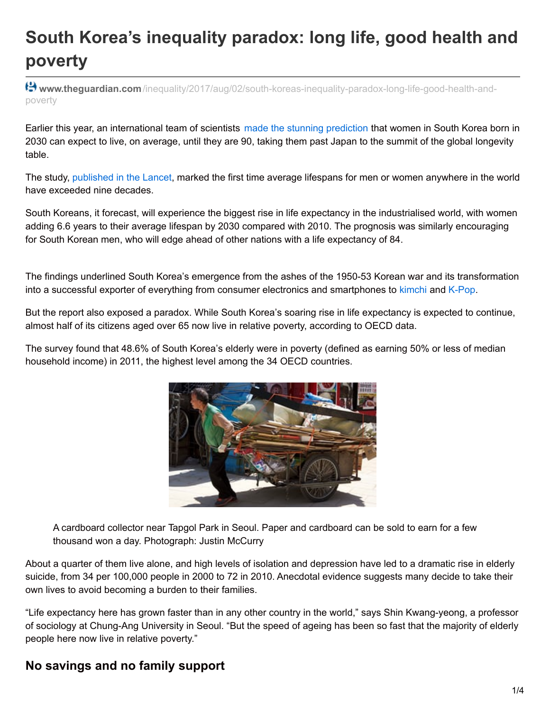## **South Korea's inequality paradox: long life, good health and poverty**

**www.theguardian.com**[/inequality/2017/aug/02/south-koreas-inequality-paradox-long-life-good-health-and](https://www.theguardian.com/inequality/2017/aug/02/south-koreas-inequality-paradox-long-life-good-health-and-poverty)poverty

Earlier this year, an international team of scientists made the stunning [prediction](https://www.theguardian.com/world/south-korea) that women in South Korea born in 2030 can expect to live, on average, until they are 90, taking them past Japan to the summit of the global longevity table.

The study, [published](http://www.thelancet.com/journals/lancet/article/PIIS0140-6736(16)32381-9/abstract) in the Lancet, marked the first time average lifespans for men or women anywhere in the world have exceeded nine decades.

South Koreans, it forecast, will experience the biggest rise in life expectancy in the industrialised world, with women adding 6.6 years to their average lifespan by 2030 compared with 2010. The prognosis was similarly encouraging for South Korean men, who will edge ahead of other nations with a life expectancy of 84.

The findings underlined South Korea's emergence from the ashes of the 1950-53 Korean war and its transformation into a successful exporter of everything from consumer electronics and smartphones to [kimchi](https://www.theguardian.com/world/2014/mar/21/crisis-in-korea-kimchi) and [K-Pop](https://www.theguardian.com/world/2012/sep/28/kpop-stars-lowdown-south-korean-pop).

But the report also exposed a paradox. While South Korea's soaring rise in life expectancy is expected to continue, almost half of its citizens aged over 65 now live in relative poverty, according to OECD data.

The survey found that 48.6% of South Korea's elderly were in poverty (defined as earning 50% or less of median household income) in 2011, the highest level among the 34 OECD countries.



A cardboard collector near Tapgol Park in Seoul. Paper and cardboard can be sold to earn for a few thousand won a day. Photograph: Justin McCurry

About a quarter of them live alone, and high levels of isolation and depression have led to a dramatic rise in elderly suicide, from 34 per 100,000 people in 2000 to 72 in 2010. Anecdotal evidence suggests many decide to take their own lives to avoid becoming a burden to their families.

"Life expectancy here has grown faster than in any other country in the world," says Shin Kwang-yeong, a professor of sociology at Chung-Ang University in Seoul. "But the speed of ageing has been so fast that the majority of elderly people here now live in relative poverty."

## **No savings and no family support**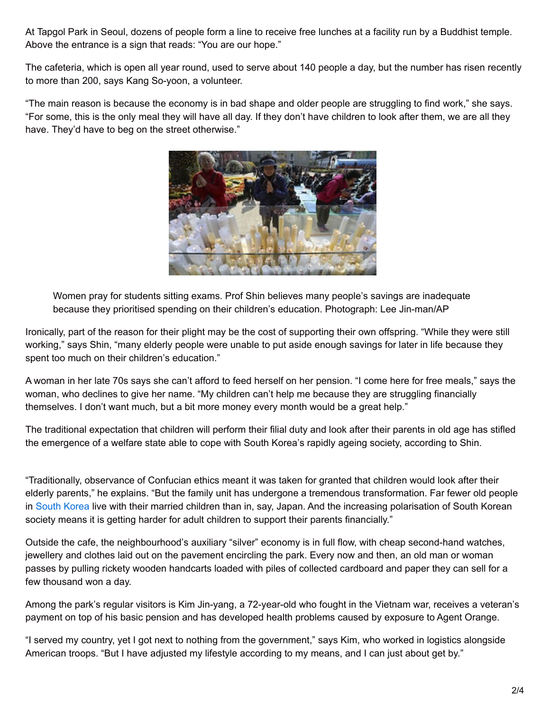At Tapgol Park in Seoul, dozens of people form a line to receive free lunches at a facility run by a Buddhist temple. Above the entrance is a sign that reads: "You are our hope."

The cafeteria, which is open all year round, used to serve about 140 people a day, but the number has risen recently to more than 200, says Kang So-yoon, a volunteer.

"The main reason is because the economy is in bad shape and older people are struggling to find work," she says. "For some, this is the only meal they will have all day. If they don't have children to look after them, we are all they have. They'd have to beg on the street otherwise."



Women pray for students sitting exams. Prof Shin believes many people's savings are inadequate because they prioritised spending on their children's education. Photograph: Lee Jin-man/AP

Ironically, part of the reason for their plight may be the cost of supporting their own offspring. "While they were still working," says Shin, "many elderly people were unable to put aside enough savings for later in life because they spent too much on their children's education."

A woman in her late 70s says she can't afford to feed herself on her pension. "I come here for free meals," says the woman, who declines to give her name. "My children can't help me because they are struggling financially themselves. I don't want much, but a bit more money every month would be a great help."

The traditional expectation that children will perform their filial duty and look after their parents in old age has stifled the emergence of a welfare state able to cope with South Korea's rapidly ageing society, according to Shin.

"Traditionally, observance of Confucian ethics meant it was taken for granted that children would look after their elderly parents," he explains. "But the family unit has undergone a tremendous transformation. Far fewer old people in South [Korea](https://www.theguardian.com/world/south-korea) live with their married children than in, say, Japan. And the increasing polarisation of South Korean society means it is getting harder for adult children to support their parents financially."

Outside the cafe, the neighbourhood's auxiliary "silver" economy is in full flow, with cheap second-hand watches, jewellery and clothes laid out on the pavement encircling the park. Every now and then, an old man or woman passes by pulling rickety wooden handcarts loaded with piles of collected cardboard and paper they can sell for a few thousand won a day.

Among the park's regular visitors is Kim Jin-yang, a 72-year-old who fought in the Vietnam war, receives a veteran's payment on top of his basic pension and has developed health problems caused by exposure to Agent Orange.

"I served my country, yet I got next to nothing from the government," says Kim, who worked in logistics alongside American troops. "But I have adjusted my lifestyle according to my means, and I can just about get by."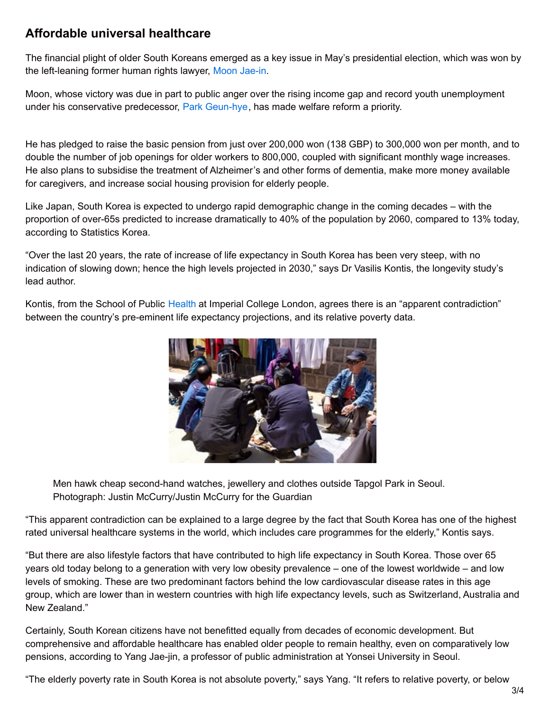## **Affordable universal healthcare**

The financial plight of older South Koreans emerged as a key issue in May's presidential election, which was won by the left-leaning former human rights lawyer, Moon [Jae-in](https://www.theguardian.com/world/2017/may/09/moon-jae-in-the-south-korean-pragmatist-who-would-be-presidentc).

Moon, whose victory was due in part to public anger over the rising income gap and record youth unemployment under his conservative predecessor, Park [Geun-hye](https://www.theguardian.com/world/2017/may/23/former-south-korean-president-park-geun-hye-on-trial-for-corruption), has made welfare reform a priority.

He has pledged to raise the basic pension from just over 200,000 won (138 GBP) to 300,000 won per month, and to double the number of job openings for older workers to 800,000, coupled with significant monthly wage increases. He also plans to subsidise the treatment of Alzheimer's and other forms of dementia, make more money available for caregivers, and increase social housing provision for elderly people.

Like Japan, South Korea is expected to undergo rapid demographic change in the coming decades – with the proportion of over-65s predicted to increase dramatically to 40% of the population by 2060, compared to 13% today, according to Statistics Korea.

"Over the last 20 years, the rate of increase of life expectancy in South Korea has been very steep, with no indication of slowing down; hence the high levels projected in 2030," says Dr Vasilis Kontis, the longevity study's lead author.

Kontis, from the School of Public [Health](https://www.theguardian.com/society/health) at Imperial College London, agrees there is an "apparent contradiction" between the country's pre-eminent life expectancy projections, and its relative poverty data.



Men hawk cheap second-hand watches, jewellery and clothes outside Tapgol Park in Seoul. Photograph: Justin McCurry/Justin McCurry for the Guardian

"This apparent contradiction can be explained to a large degree by the fact that South Korea has one of the highest rated universal healthcare systems in the world, which includes care programmes for the elderly," Kontis says.

"But there are also lifestyle factors that have contributed to high life expectancy in South Korea. Those over 65 years old today belong to a generation with very low obesity prevalence – one of the lowest worldwide – and low levels of smoking. These are two predominant factors behind the low cardiovascular disease rates in this age group, which are lower than in western countries with high life expectancy levels, such as Switzerland, Australia and New Zealand."

Certainly, South Korean citizens have not benefitted equally from decades of economic development. But comprehensive and affordable healthcare has enabled older people to remain healthy, even on comparatively low pensions, according to Yang Jae-jin, a professor of public administration at Yonsei University in Seoul.

"The elderly poverty rate in South Korea is not absolute poverty," says Yang. "It refers to relative poverty, or below